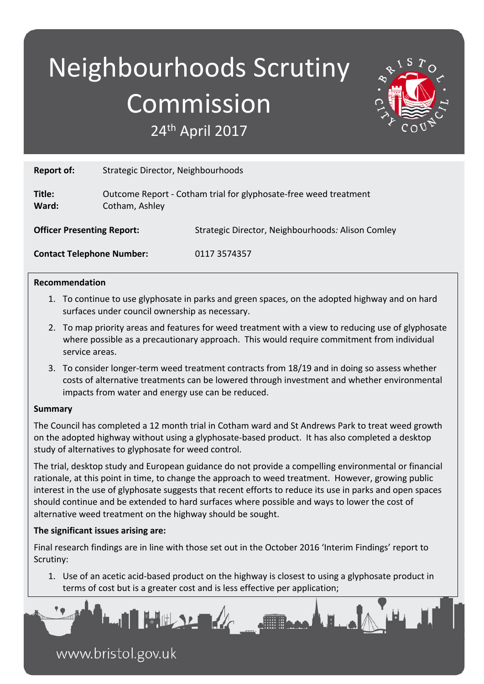# Neighbourhoods Scrutiny Commission 24th April 2017



**Report of:** Strategic Director, Neighbourhoods

**Title:** Outcome Report - Cotham trial for glyphosate-free weed treatment **Ward:** Cotham, Ashley

**Officer Presenting Report:** Strategic Director, Neighbourhoods*:* Alison Comley

**Contact Telephone Number:** 0117 3574357

### **Recommendation**

- 1. To continue to use glyphosate in parks and green spaces, on the adopted highway and on hard surfaces under council ownership as necessary.
- 2. To map priority areas and features for weed treatment with a view to reducing use of glyphosate where possible as a precautionary approach. This would require commitment from individual service areas.
- 3. To consider longer-term weed treatment contracts from 18/19 and in doing so assess whether costs of alternative treatments can be lowered through investment and whether environmental impacts from water and energy use can be reduced.

### **Summary**

The Council has completed a 12 month trial in Cotham ward and St Andrews Park to treat weed growth on the adopted highway without using a glyphosate-based product. It has also completed a desktop study of alternatives to glyphosate for weed control.

The trial, desktop study and European guidance do not provide a compelling environmental or financial rationale, at this point in time, to change the approach to weed treatment. However, growing public interest in the use of glyphosate suggests that recent efforts to reduce its use in parks and open spaces should continue and be extended to hard surfaces where possible and ways to lower the cost of alternative weed treatment on the highway should be sought.

### **The significant issues arising are:**

Final research findings are in line with those set out in the October 2016 'Interim Findings' report to Scrutiny:

1. Use of an acetic acid-based product on the highway is closest to using a glyphosate product in terms of cost but is a greater cost and is less effective per application;

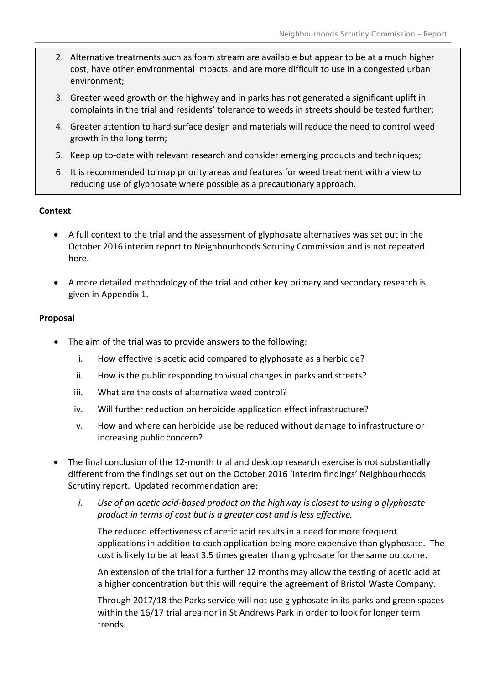- 2. Alternative treatments such as foam stream are available but appear to be at a much higher cost, have other environmental impacts, and are more difficult to use in a congested urban environment;
- 3. Greater weed growth on the highway and in parks has not generated a significant uplift in complaints in the trial and residents' tolerance to weeds in streets should be tested further;
- 4. Greater attention to hard surface design and materials will reduce the need to control weed growth in the long term;
- 5. Keep up to-date with relevant research and consider emerging products and techniques;
- 6. It is recommended to map priority areas and features for weed treatment with a view to reducing use of glyphosate where possible as a precautionary approach.

### **Context**

- A full context to the trial and the assessment of glyphosate alternatives was set out in the October 2016 interim report to Neighbourhoods Scrutiny Commission and is not repeated here.
- A more detailed methodology of the trial and other key primary and secondary research is given in Appendix 1.

### **Proposal**

- The aim of the trial was to provide answers to the following:
	- i. How effective is acetic acid compared to glyphosate as a herbicide?
	- ii. How is the public responding to visual changes in parks and streets?
	- iii. What are the costs of alternative weed control?
	- iv. Will further reduction on herbicide application effect infrastructure?
	- v. How and where can herbicide use be reduced without damage to infrastructure or increasing public concern?
- The final conclusion of the 12-month trial and desktop research exercise is not substantially different from the findings set out on the October 2016 'Interim findings' Neighbourhoods Scrutiny report. Updated recommendation are:
	- *i. Use of an acetic acid-based product on the highway is closest to using a glyphosate product in terms of cost but is a greater cost and is less effective.*

The reduced effectiveness of acetic acid results in a need for more frequent applications in addition to each application being more expensive than glyphosate. The cost is likely to be at least 3.5 times greater than glyphosate for the same outcome.

An extension of the trial for a further 12 months may allow the testing of acetic acid at a higher concentration but this will require the agreement of Bristol Waste Company.

Through 2017/18 the Parks service will not use glyphosate in its parks and green spaces within the 16/17 trial area nor in St Andrews Park in order to look for longer term trends.